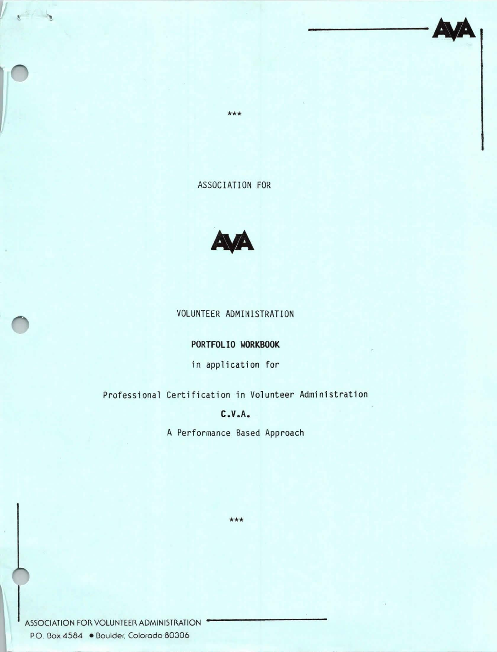\*\*\*

ASSOCIATION FOR



### VOLUNTEER ADMINISTRATION

### **PORTFOLIO WORKBOOK**

in application for

Professional Certification in Volunteer Administration

## **C.V.A.**

A Performance Based Approach

\*\*\*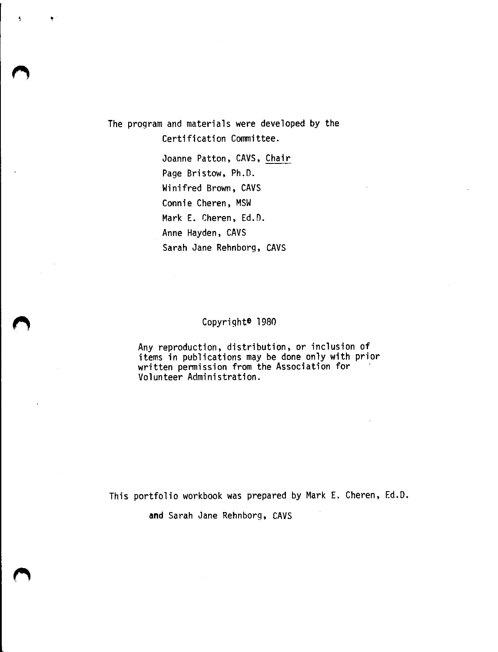The program and materials were developed by the Certification Committee.

> Joanne Patton, CAVS, Chair Page Bristow, Ph.D. Winifred Brown, CAVS Connie Cheren, MSW Mark E. Cheren, Ed.D. Anne Hayden, CAVS Sarah Jane Rehnborg, CAVS

### Copyrighte 1980

Any reproduction, distribution, or inclusion of<br>items in publications may be done only with prior written permission from the Association for Volunteer Administration.

This portfolio workbook was prepared by Mark E. Cheren, Ed.D.

**and** Sarah Jane Rehnborg, CAVS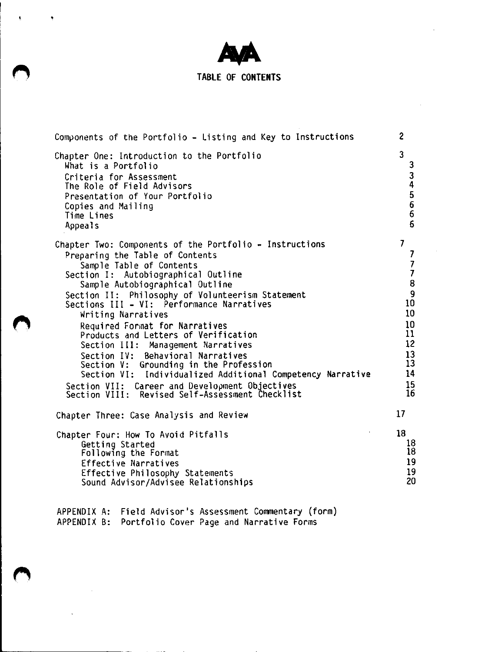

 $\alpha$ 

•

## **TABLE OF CONTENTS**

 $\sim$ 

| Components of the Portfolio - Listing and Key to Instructions                                                                                                                                                                                                                                                                                                                                                                                                                                                                                                                                                                                                                                | 2                                                                                                                                                             |
|----------------------------------------------------------------------------------------------------------------------------------------------------------------------------------------------------------------------------------------------------------------------------------------------------------------------------------------------------------------------------------------------------------------------------------------------------------------------------------------------------------------------------------------------------------------------------------------------------------------------------------------------------------------------------------------------|---------------------------------------------------------------------------------------------------------------------------------------------------------------|
| Chapter One: Introduction to the Portfolio<br>What is a Portfolio<br>Criteria for Assessment<br>The Role of Field Advisors<br>Presentation of Your Portfolio<br>Copies and Mailing<br>Time Lines<br><b>Appeals</b>                                                                                                                                                                                                                                                                                                                                                                                                                                                                           | 3<br>3<br>$\frac{3}{4}$<br>5<br>$\boldsymbol{6}$<br>$\overline{6}$<br>6                                                                                       |
| Chapter Two: Components of the Portfolio - Instructions<br>Preparing the Table of Contents<br>Sample Table of Contents<br>Section I: Autobiographical Outline<br>Sample Autobiographical Outline<br>Section II: Philosophy of Volunteerism Statement<br>Sections III - VI: Performance Narratives<br>Writing Narratives<br>Required Format for Narratives<br>Products and Letters of Verification<br>Section III: Management Narratives<br>Section IV:<br>Behavioral Narratives<br>Section V: Grounding in the Profession<br>Section VI: Individualized Additional Competency Narrative<br>Section VII: Career and Development Objectives<br>Section VIII: Revised Self-Assessment Checklist | $\overline{I}$<br>7<br>$\overline{\phantom{a}}$<br>$\overline{\mathbf{z}}$<br>8<br>9<br>10<br>10<br>10<br>11<br>12 <sup>2</sup><br>13<br>13<br>14<br>15<br>16 |
| Chapter Three: Case Analysis and Review                                                                                                                                                                                                                                                                                                                                                                                                                                                                                                                                                                                                                                                      | 17 <sup>2</sup>                                                                                                                                               |
| Chapter Four: How To Avoid Pitfalls<br>Getting Started<br>Following the Format<br>Effective Narratives<br>Effective Philosophy Statements<br>Sound Advisor/Advisee Relationships                                                                                                                                                                                                                                                                                                                                                                                                                                                                                                             | 18<br>18<br>18<br>19<br>19<br>20                                                                                                                              |

APPENDIX A: APPENDIX 8: Field Advisor's Assessment Commentary (form) Portfolio Cover Page and Narrative Forms

 $\sim 10$ 

 $\ddot{\phantom{a}}$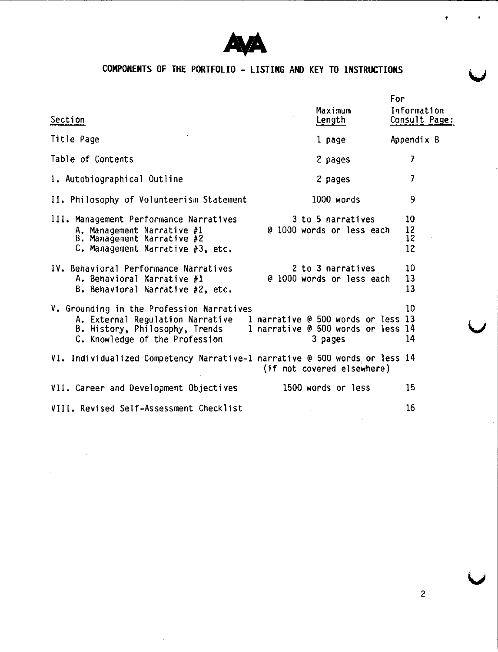

. . . . . . . . <u>. .</u>

 $\sim$   $\mu$   $^2$ 

J.

# **COMPONENTS OF THE PORTFOLIO - LISTING AND KEY TO INSTRUCTIONS**

|                                                                            | For<br>Maximum                     | Information   |
|----------------------------------------------------------------------------|------------------------------------|---------------|
| Section                                                                    | Length                             | Consult Page: |
| Title Page                                                                 | 1 page                             | Appendix B    |
| Table of Contents                                                          | 2 pages                            | 7             |
| I. Autobiographical Outline                                                | 2 pages                            | 7             |
| II. Philosophy of Volunteerism Statement                                   | 1000 words                         | 9             |
| III. Management Performance Narratives                                     | 3 to 5 narratives                  | 10            |
| A. Management Narrative #1<br>B. Management Narrative #2                   | @ 1000 words or less each          | 12<br>12      |
| C. Management Narrative #3, etc.                                           |                                    | 12            |
| IV. Behavioral Performance Narratives                                      | 2 to 3 narratives                  | 10            |
| A. Behavioral Narrative #1                                                 | @ 1000 words or less each          | 13            |
| B. Behavioral Narrative #2, etc.                                           |                                    | 13            |
| V. Grounding in the Profession Narratives                                  |                                    | 10            |
| A. External Regulation Narrative - 1 narrative @ 500 words or less 13      |                                    |               |
| B. History, Philosophy, Trends                                             | 1 narrative @ 500 words or less 14 |               |
| C. Knowledge of the Profession                                             | 3 pages                            | 14            |
| VI. Individualized Competency Narrative-1 narrative @ 500 words or less 14 | (if not covered elsewhere)         |               |
| VII. Career and Development Objectives                                     | 1500 words or less                 | 15            |
| VIII. Revised Self-Assessment Checklist                                    |                                    | 16            |

•

 $\cdot$ 

**v**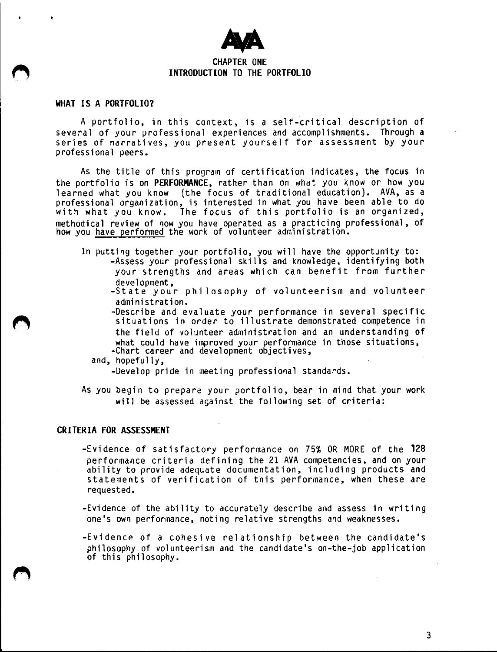

#### **CHAPTER ONE INTRODUCTION TO THE PORTFOLIO**

#### **WHAT IS A PORTFOLIO?**

A portfolio, in this context, is a self-critical description of several of your professional experiences and accomplishments. Through a series of narratives, you present yourself for assessment by your professional peers.

As the title of this program of certification indicates, the focus in the portfolio is on **PERFORMANCE,** rather than on what you know or how you learned what you know {the focus of traditional education). AVA, as a professional organization, is interested in what you have been able to do<br>with what you know. The focus of this portfolio is an organized, The focus of this portfolio is an organized, methodical review of how you have operated as a practicing professional, of how you have performed the work of volunteer administration.

- In putting together your portfolio, you will have the opportunity to: -Assess your professional skills and knowledge, identifying both your strengths and areas which can benefit from further development,
	- -State your philosophy of volunteerism and volunteer
	- -administration.<br>-Describe and evaluate your performance in several specific situations in order to illustrate demonstrated competence in the field of volunteer administration and an understanding of what could have improved your performance in those situations,<br>-Chart career and development objectives,<br>and, hopefully,
	- - -Develop pride in meeting professional standards.
- As you begin to prepare your portfolio, bear in mind that your work will be assessed against the following set of criteria:

#### **CRITERIA FOR ASSESSMENT**

-Evidence of satisfactory performance on 75% OR MORE of the **128**  performance criteria defining the 21 AVA competencies, and on your ability to provide adequate documentation, including products and statements of verification of this performance, when these are requested.

-Evidence of the ability to accurately describe and assess in writing one's own performance, noting relative strengths and weaknesses.

-Evidence of a cohesive relationship between the candidate's philosophy of volunteerism and the candidate's on-the-job application of this philosophy.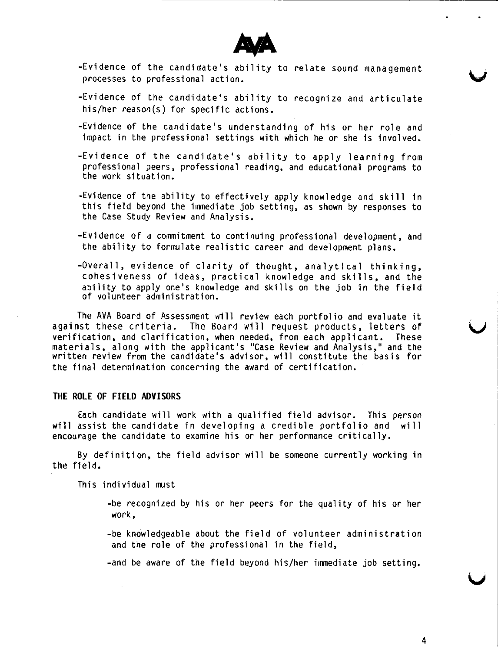

- -Evidence of the candidate's ability to relate sound management processes to professional action.
- -Evidence of the candidate's ability to recognize and articulate his/her reason(s) for specific actions.
- -Evidence of the candidate's understanding of his or her role and impact in the professional settings with which he or she is involved.
- -Evidence of the candidate's ability to apply learning from professional peers, professional reading, and educational programs to the work situation.
- -Evidence of the ability to effectively apply knowledge and skill in this field beyond the immediate job setting, as shown by responses to the Case Study Review and Analysis.
- -Evidence of a commitment to continuing professional development, and the ability to formulate realistic career and development plans.
- -Overall, evidence of clarity of thought, analytical thinking, cohesiveness of ideas, practical knowledge and skills, and the ability to apply one's knowledge and skills on the job in the field of volunteer administration.

The AVA Board of Assessment will review each portfolio and evaluate it against these criteria. The Board will request products, letters of verification, and clarification, when needed, from each applicant. These materials, along with the applicant's "Case Review and Analysis," and the written review from the candidate's advisor, will constitute the basis for the final determination concerning the award of certification.

#### **THE ROLE OF FIELD ADVISORS**

Each candidate will work with a qualified field advisor. This person will assist the candidate in developing a credible portfolio and will encourage the candidate to examine his or her performance critically.

By definition, the field advisor will be someone currently working in the field.

This individual must

- -be recognized by his or her peers for the quality of his or her work,
- -be knowledgeable about the field of volunteer administration and the role of the professional in the field,
- -and be aware of the field beyond his/her immediate job setting.

**u**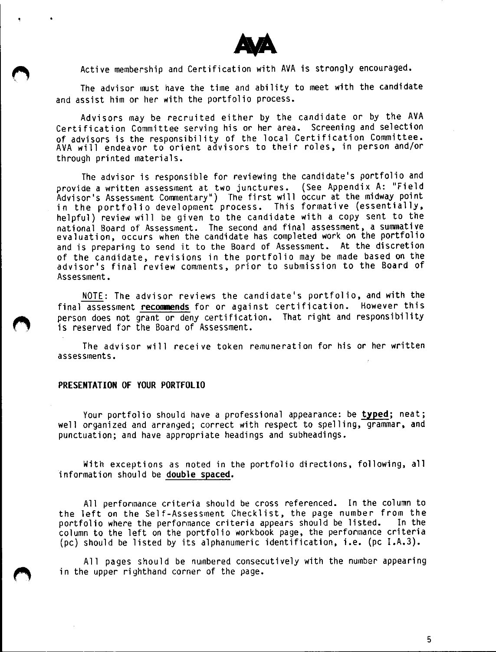

Active membership and Certification with AVA is strongly encouraged.

The advisor must have the time and ability to meet with the candidate and assist him or her with the portfolio process.

Advisors may be recruited either by the candidate or by the AVA Certification Committee serving his or her area. Screening and selection of advisors is the responsibility of the local Certification Committee. AVA will endeavor to orient advisors to their roles, in person and/or through printed materials.

The advisor is responsible for reviewing the candidate's portfolio and provide a written assessment at two junctures. (See Appendix A: "Field<br>Advisor's Assessment Commentary") The first will occur at the midway point in the portfolio development process. This formative (essentially, helpful) review will be given to the candidate with a copy sent to the national Board of Assessment. The second and final assessment, a summative evaluation, occurs when the candidate has completed work on the portfoli and is preparing to send it to the Board of Assessment. At the discretion of the candidate, revisions in the portfolio may be made based on the advisor's final review comments, prior to submission to the Board of Assessment.

NOTE: The advisor reviews the candidate's portfolio, and with the final assessment recommends for or against certification. However this person does not grant or deny certification. That right and responsibility is reserved for the Board of Assessment.

The advisor will receive token remuneration for his or her written assessments.

#### **PRESENTATION OF YOUR PORTFOLIO**

Your portfolio should have a professional appearance: be **typed;** neat; well organized and arranged; correct with respect to spelling, grammar, and punctuation; and have appropriate headings and subheadings.

With exceptions as noted in the portfolio directions, following, all information should be **double spaced.** 

All performance criteria should be cross referenced. In the column to the left on the Self-Assessment Checklist, the page number from the portfolio where the performance criteria appears should be listed. In the column to the left on the portfolio workbook page, the performance criteria (pc) should be listed by its alphanumeric identification, i.e. (pc I.A.3).

All pages should be numbered consecutively with the number appearing in the upper righthand corner of the page.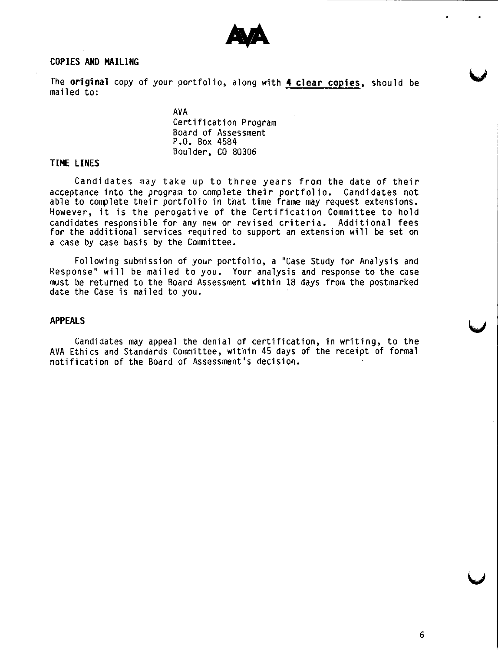

#### **COPIES AND MAILING**

The **original** copy of your portfolio, along with **4 clear copies,** should be mailed to:

> AVA Certification Program Board of Assessment P.O. Box 4584 Boulder, CO 80306

#### **TIME LINES**

Candidates may take up to three years from the date of their acceptance into the program to complete their portfolio. Candidates not able to complete their portfolio in that time frame may request extensions. However, it is the perogative of the Certification Committee to hold candidates responsible for any new or revised criteria. Additional fees for the additional services required to support an extension will be set on a case by case basis by the Committee.

Following submission of your portfolio, **a** "Case Study for Analysis and Response" will be mailed to you. Your analysis and response to the case must be returned to the Board Assessment within 18 days from the postmarked date the Case is mailed to you.

#### **APPEALS**

Candidates may appeal the denial of certification, in writing, to the AVA Ethics and Standards Committee, within 45 days of the receipt of formal notification of the Board of Assessment's decision.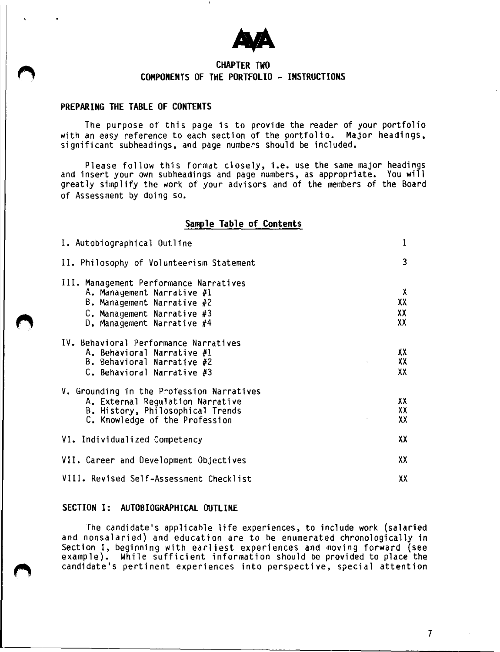

### **CHAPTER TWO COMPONENTS OF THE PORTFOLIO - INSTRUCTIONS**

#### **PREPARING THE TABLE OF CONTENTS**

The purpose of this page is to provide the reader of your portfolio with an easy reference to each section of the portfolio. Major headings,<br>significant subheadings, and page numbers should be included.

Please follow this format closely, i.e. use the same major headings and insert your own subheadings and page numbers, as appropriate. You will greatly simplify the work of your advisors and of the members of the Board of Assessment by doing so.

#### **Sample Table of Contents**

| I. Autobiographical Outline                                                                                                                                       | 1                   |  |  |
|-------------------------------------------------------------------------------------------------------------------------------------------------------------------|---------------------|--|--|
| II. Philosophy of Volunteerism Statement                                                                                                                          | 3                   |  |  |
| III. Management Performance Narratives<br>A. Management Narrative #1<br>B. Management Narrative #2<br>$C$ . Management Narrative #3<br>D. Management Narrative #4 | χ<br>XX<br>XX<br>XX |  |  |
| IV. Behavioral Performance Narratives<br>A. Behavioral Narrative $#1$<br>B. Behavioral Narrative #2<br>C. Behavioral Narrative $#3$                               | XX<br>XX<br>XX      |  |  |
| V. Grounding in the Profession Narratives<br>A. External Regulation Narrative<br>B. History, Philosophical Trends<br>C. Knowledge of the Profession               | XX<br>XX<br>XX      |  |  |
| VI. Individualized Competency                                                                                                                                     | XX                  |  |  |
| VII. Career and Development Objectives                                                                                                                            |                     |  |  |
| VIII. Revised Self-Assessment Checklist<br>XΧ                                                                                                                     |                     |  |  |

#### SECTION I: AUTOBIOGRAPHICAL OUTLINE

The candidate's applicable life experiences, to include work (salaried and nonsalaried) and education are to be enumerated chronologically in Section I, beginning with earliest experiences and moving forward (see example}. While sufficient information should be provided to place the candidate's pertinent experiences into perspective, special attention

7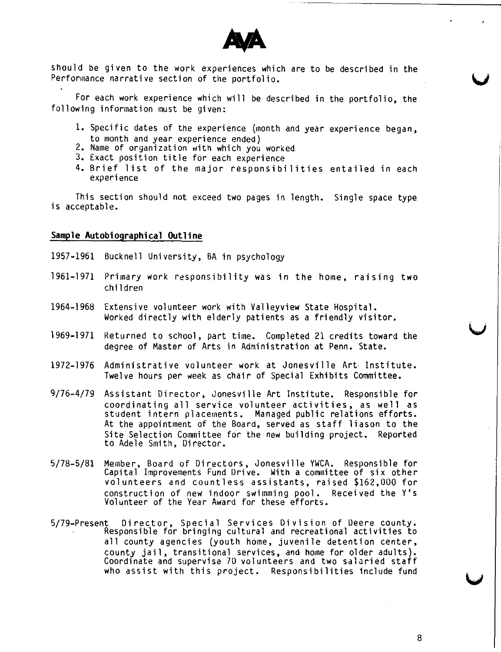

should be given to the work experiences which are to be described in the Performance narrative section of the portfolio.

For each work experience which will be described in the portfolio, the following information must be given:

- 1. Specific dates of the experience (month and year experience began, to month and year experience ended)
- 2. Name of organization with which you worked
- 3. Exact position title for each experience
- 4. Brief list of the major responsibilities entailed in each experience

This section should not exceed two pages in length. Single space type is acceptable.

#### **Sample Autobiographical Outline**

- 1957-1961 Bucknell University, BA in psychology
- 1961-1971 Primary work responsibility was in the home, raising two children
- 1964-1968 Extensive volunteer work with Valleyview State Hospital. Worked directly with elderly patients as a friendly visitor.
- 1969-1971 Returned to school, part time. Completed 21 credits toward the degree of Master of Arts in Administration at Penn. State.
- 1972-1976 Administrative volunteer work at Jonesville Art• Institute. Twelve hours per week as chair of Special Exhibits Committee.
- 9/76-4/79 Assistant Director, Jonesville Art Institute. Responsible for coordinating all service volunteer activities, as well as student intern placements. Managed public relations efforts. At the appointment of the Board, served as staff liason to the Site Selection Committee for the new building project. Reported to Adele Smith, Director.
- 5/78-5/81 Member, Board of Directors, Jonesville YWCA. Responsible for Capital Improvements Fund Drive. With a committee of six other volunteers and countless assistants, raised \$162,000 for construction of new indoor swimming pool. Received the Y's Volunteer of the Year Award for these efforts.
- 5/79-Present Director, Special Services Division of Deere county. Responsible for bringing cultural and recreational activities to all county agencies (youth home, juvenile detention center, county jail, transitional services, and home for older adults). Coordinate and supervise 70 volunteers and two salaried staff who assist with this project. Responsibilities include fund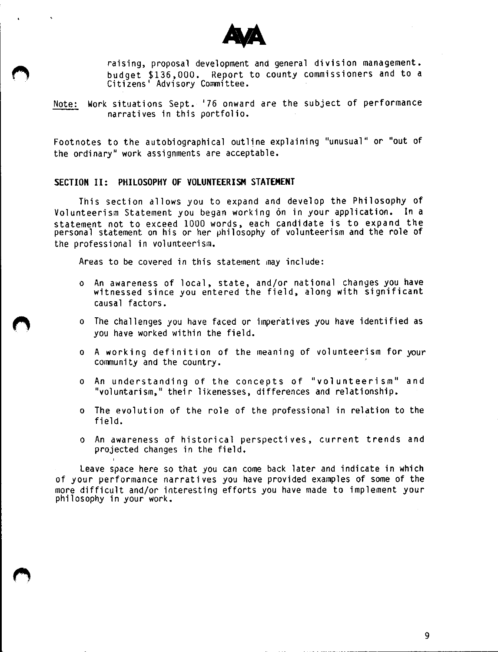

raising, proposal development and general division management. Report to county commissioners and to a budget \$136,000. Report 1<br>Citizens' Advisory Committee.

Note: Work situations Sept. '76 onward are the subject of performance narratives in this portfolio.

Footnotes to the autobiographical outline explaining "unusual" or "out of the ordinary" work assignments are acceptable.

#### **SECTION** II: **PHILOSOPHY OF VOLUNTEERISM STATEMENT**

This section allows you to expand and develop the Philosophy of Volunteerism Statement you began working 6n in your application. In a statement not to exceed 1000 words, each candidate is to expand the personal statement on his or her philosophy of volunteerism and the role of the professional in volunteerism.

Areas to be covered in this statement may include:

- o An awareness of local, state, and/or national changes you have witnessed since you entered the field, along with significa causal factors.
- o The challenges you have faced or imperatives you have identified as you have worked within the field.
- o A working definition of the meaning of volunteerism for your community and the country.
- o An understanding of the concepts of "volunteerism" and "voluntarism," their likenesses, differences and relationship.
- o The evolution of the role of the professional in relation to the field. .
- o An awareness of historical perspectives, current trends and projected changes in the field.

Leave space here so that you can come back later and indicate in which of your performance narratives you have provided examples of some of the more difficult and/or interesting efforts you have made to implement your<br>philosophy in your work.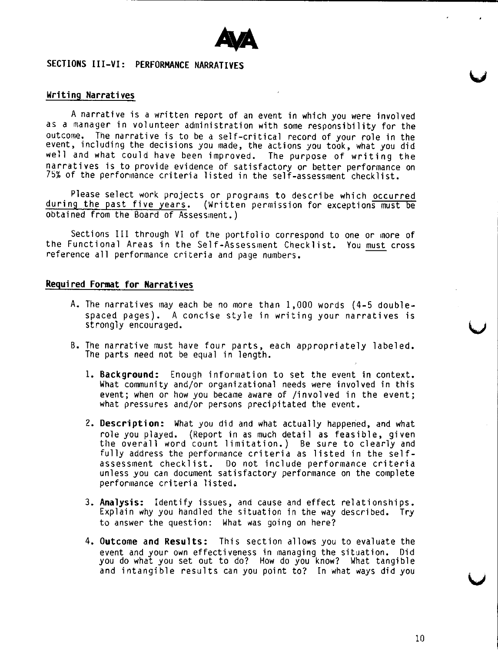

### **SECTIONS III-VI: PERFORMANCE NARRATIVES**

#### **Writing Narratives**

A narrative is a written report of an event in which you were involved as a manager in volunteer administration with some responsibility for the outcome. The narrative is to be a self-critical record of your role in the event, including the decisions you made, the actions you took, what you did well and what could have been improved. The purpose of writing the narratives is to provide evidence of satisfactory or better performance on 75% of the performance criteria listed in the self-assessment checklist.

Please select work projects or programs to describe which occurred during the past five years. {Written permission for exceptions must be obtained from the Board of Assessment.)

Sections III through VI of the portfolio correspond to one or more of the Functional Areas in the Self-Assessment Checklist. You must cross reference all performance criteria and page numbers.

### **Required Format for Narratives**

- A. The narratives may each be no more than 1,000 words {4-5 doublespaced pages). A concise style in writing your narratives is strongly encouraged.
- B. The narrative must have four parts, each appropriately labeled. The parts need not be equal in length.
	- 1. **Background:** Enough information to set the event in context. What community and/or organizational needs were involved in this event; when or how you became aware of /involved in the event; what pressures and/or persons precipitated the event.
	- 2. **Description:** What you did and what actually happened, and what role you played. (Report in as much detail as feasible, given<br>the overall word count limitation.) Be sure to clearly and fully address the performance criteria as listed in the self-<br>assessment checklist. Do not include performance criteria Do not include performance criteria unless you can document satisfactory performance on the complete performance criteria listed.
	- 3. **Analysis:** Identify issues, and cause and effect relationships. Explain why you handled the situation in the way described, Try to answer the question: What was going on here?
	- 4. **Outcome and Results:** This section allows you to evaluate the event and your own effectiveness in managing the situation. Did you do what you set out to do? How do you know? What tangible and intangible results can you point to? In what ways did you

10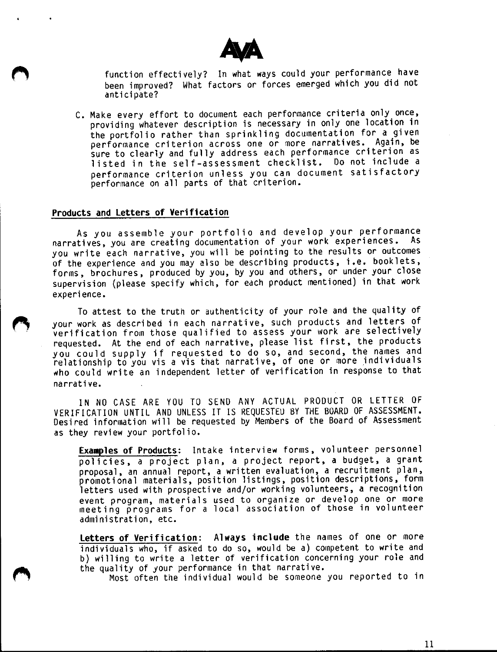

function effectively? In what ways could your performance have been improved? What factors or forces emerged which you did not anticipate?

C. Make every effort to document each performance criteria only once, providing whatever description is necessary in only one location in<br>the portfolio rather than sprinkling documentation for a given performance criterion across one or more narratives. Again, be sure to clearly and fully address each performance criterion as listed in the self-assessment checklist. Do not include a<br>performance criterion unless you can document satisfactory performance on all parts of that criterion.

#### **Products and Letters of Verification**

As you assemble your portfolio and develop your performance<br>narratives, you are creating documentation of your work experiences. As you write each narrative, you will be pointing to the results or outcomes of the experience and you may also be describing products, i.e. booklets, forms, brochures, produced by you, by you and others, or under your close supervision (please specify which, for edch product mentioned) in that work experience.

To attest to the truth or authenticity of your role and the quality of your work as described in each narrative, such products and letters of verification from those qualified to assess your work are selectively requested. At the end of each narrative, please list first, the products you could supply if requested to do so, and second, the names and relationship to you vis a vis that narrative, of one or more individuals who could write an independent letter of verification in response to that narrative.

IN ND CASE ARE YOU TO SEND ANY ACTUAL PRODUCT OR LETTER OF VERIFICATION UNTIL AND UNLESS IT IS REQUESTEU BY THE BOARD OF ASSESSMENT. Desi red information will be requested by Members of the Board of Assessment as they review your portfolio.

**Examples of Products:** Intake interview forms, volunteer personnel policies, a project plan, a project report, **a** budget, a grant promotional materials, position listings, position descriptions, form letters used with prospective and/or working volunteers, a recognition event program, materials used to organize or develop one or more meeting programs for a local association of those in voluntee administration, etc.

**Letters of Verification: Always include** the names of one or more individuals who, if asked to do so, would be a) competent to write and b) willing to write a letter of verification concerning your role and the quality of your performance in that narrative.

Most often the individual would be someone you reported to in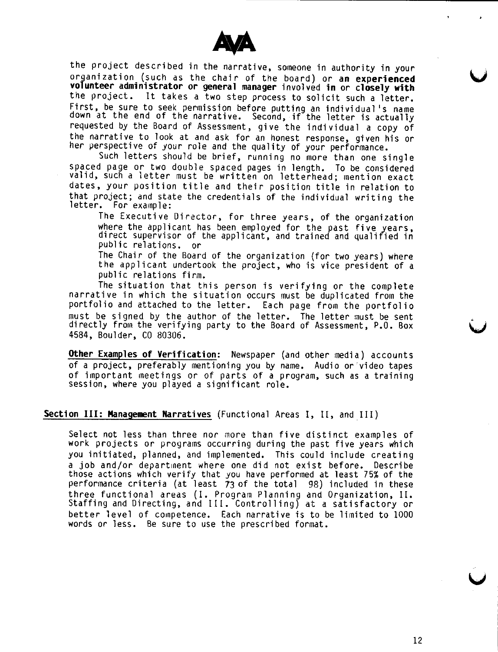

the project described in the narrative, someone in authority in your organization (such as the chair of the board) or **an experienced volunteer administrator or general manager** involved **in or closely with**  the project. It takes a two step process to solicit such a letter. First, be sure to seek permission before putting an individual's name down at the end of the narrative. Second, if the letter is actually requested by the Board of Assessment, give the individual a copy of the narrative to look at and ask for an honest response, given his or her perspective of your role and the quality of your performance.

Such letters should be brief, running no more than one single spaced page or two double spaced pages in length. To be considered valid, such a letter must be written on letterhead; mention exact dates, your position title and their position title in relation to that project; and state the credentials of the individual writing the letter. For example:

The Executive Director, for three years, of the organization<br>where the applicant has been employed for the past five years. direct supervisor of the applicant, and trained and qualified in public relations. or

The Chair of the Board of the organization (for two years) where the applicant undertook the project, who is vice president of a public relations firm.<br>The situation that this person is verifying or the complete

narrative in which the situation occurs must be duplicated from the portfolio and attached to the letter. Each page from the portfolio must be signed by the author of the letter. The letter must be sent directly from the verifying party to the Board of Assessment, P.O. Box 4584, Boulder, CO 80306.

**Other Examples of Verification:** Newspaper (and other media) accounts of a project, preferably mentioning you by name. Audio or·video tapes of important meetings or of parts of a program, such as a training session, where you played a significant role.

#### **Section III: Management Narratives** (Functional Areas I, II, and\_III)

Select not less than three nor more than five distinct examples of work projects or programs occurring during the past five years which you initiated, planned, and implemented. This could include creating a job and/or department where one did not exist before. Describe those actions which verify that you have performed at least 75% of the performance criteria (at least 73 of the total 98) included in these three functional areas (I. Program Planning and Organization, II. Staffing and Directing, and III. Controlling) at a satisfactory or better level of competence. Each narrative is to be limited to 1000 words or less. Be sure to use the prescribed format.

**u**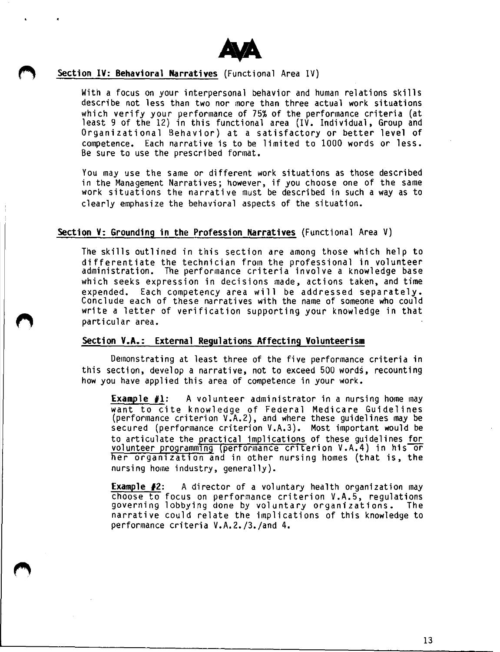

#### **Section IV: Behavioral Narratives** (Functional Area IV)

With a focus on your interpersonal behavior and human relations skills describe not less than two nor more than three actual work situations<br>which verify your performance of 75% of the performance criteria (at least 9 of the 12) in this functional area (IV. Individual, Group and Organizational Behavior) at a satisfactory or better level of competence. Each narrative is to be limited to 1000 words or less. Be sure to use the prescribed format.

You may use the same or different work situations as those described in the Management Narratives; however, if you choose one of the same work situations the narrative must be described in such a way as to clearly emphasize the behavioral aspects of the situation.

#### **Section V: Grounding in the Profession Narratives** (Functional Area V)

The skills outlined in this section are among those which help to differentiate the technician from the professional in volunteer administration. The performance criteria involve a knowledge base which seeks expression in decisions made, actions taken, and time expended. Each competency area wi 11 be addressed separately. Conclude each of these narratives with the name of someone who could write a letter of verification supporting your knowledge in that particular area.

### **Section V.A.: External Regulations Affecting Volunteerism**

Demonstrating at least three of the five performance criteria in this section, develop a narrative, not to exceed 500 words, recounting how you have applied this area of competence in your work.

**Example #1:** A volunteer administrator in a nursing home may want to cite knowledge of Federal Medicare Guideline (performance criterion V.A.2), and where these guidelines may be secured (performance criterion V.A.3). Most important would be to articulate the practical implications of these guidelines for volunteer programming (performance criterion V.A.4) in his or her organization and in other nursing homes (that is, the nursing home industry, generally).

**Example #2:** A director of a voluntary health organization may<br>choose to focus on performance criterion V.A.5, regulations governing lobbying done by voluntary organizations. The narrative could relate the implications of this knowledge to performance criteria V.A.2./3./and 4.

13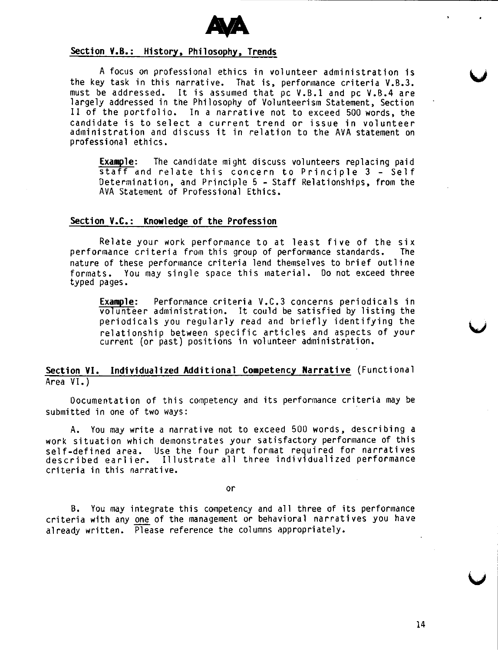

#### **Section V.B.: History, Philosophy, Trends**

A focus on professional ethics in volunteer administration is the key task in this narrative. That is, performance criteria V.B.3. must be addressed. It is assumed that pc V.B.1 and pc V.B.4 are largely addressed in the Philosophy of Volunteerism Statement, Section II of the portfolio. In a narrative not to exceed 500 words, the candidate is to select a current trend or issue in volunteer administration and discuss it in relation to the AVA statement on professional ethics.

**Example:** The candidate might discuss volunteers replacing paid staff and relate this concern to Principle 3 - Self Determination, and Principle 5 - Staff Relationships, from the AVA Statement of Professional Ethics.

#### **Section V.C.: Knowledge of the Profession**

Relate your work performance to at least five of the six<br>maance criteria from this group of performance standards. The performance criteria from this group of performance standards. nature of these performance criteria lend themselves to brief outline formats. You may single space this material. Do not exceed three typed pages.

**Example:** Performance criteria V.C.3 concerns periodicals in volunteer administration. It could be satisfied by listing the periodicals you regularly read and briefly identifying the relationship between specific articles and aspects of your current (or past) positions in volunteer administration.

### **Section VI. Individualized Additional Competency Narrative** {Functional Area VI.)

Documentation of this competency and its performance criteria may be submitted in one of two ways:

A. You may write a narrative not to exceed 500 words, describing a work situation which demonstrates your satisfactory performance of this self-defined area. Use the four part format required for narrative described earlier. Illustrate all three individualized performance criteria in this narrative.

or

B. You may integrate this competency and all three of its performance criteria with any one of the management or behavioral narratives you have already written. Please reference the columns appropriately.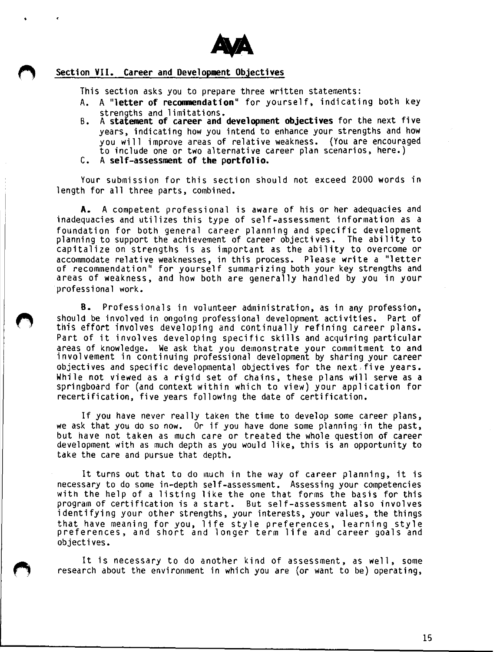

### **Section VII. Career and Development Objectives**

This section asks you to prepare three written statements:

- A. A **"letter of reconmendation"** for yourself, indicating both key strengths and limitations.
- B. A **statement of career and development objectives** for the next five years, indicating how you intend to enhance your strengths and how you will improve areas of relative weakness. {You are encouraged to include one or two alternative career plan scenarios, here.)
- C. A **self-assessment of the portfolio.**

Your submission for this section should not exceed 2000 words in length for all three parts, combined.

**A.** A competent professional is aware of his or her adequacies and inadequacies and utilizes this type of self-assessment information as a foundation for both general career planning and specific development planning to support the achievement of career objectives. The ability to capitalize on strengths is as important as the ability to overcome or accommodate relative weaknesses, in this process. Please write a "letter of recommendation" for yourself summarizing both your key strengths and areas of weakness, and how both are generally handled by you in your professional work.

**8.** Professionals in volunteer administration, as in any profession, should be involved in ongoing professional development activities. Part of this effort involves developing and continually refining career plans. Part of it involves developing specific skills and acquiring particular areas of knowledge. We ask that you demonstrate your commitment to and involvement in continuing professional development by sharing your career objectives and specific developmental objectives for the next.five years. While not viewed as a rigid set of chains, these plans will serve as **a**  springboard for (and context within which to view) your application for recertification, five years following the date of certification.

If you have never really taken the time to develop some career plans, we ask that you do so now. Or if you have done some planning in the past, but have not taken as much care or treated the whole question of career development with as much depth as you would like, this is an opportunity to take the care and pursue that depth.

It turns out that to do much in the way of career planning, it is necessary to do some in-depth self-assessment. Assessing your competencies with the help of a listing like the one that forms the basis for this program of certification is a start. But self-assessment also involves identifying your other strengths, your interests, your values, the things that have meaning for you, life style preferences, learning style preferences, and short and longer term life and career goals and objectives.

It is necessary to do another kind of assessment, as well, some research about the environment in which you are (or want to be) operating,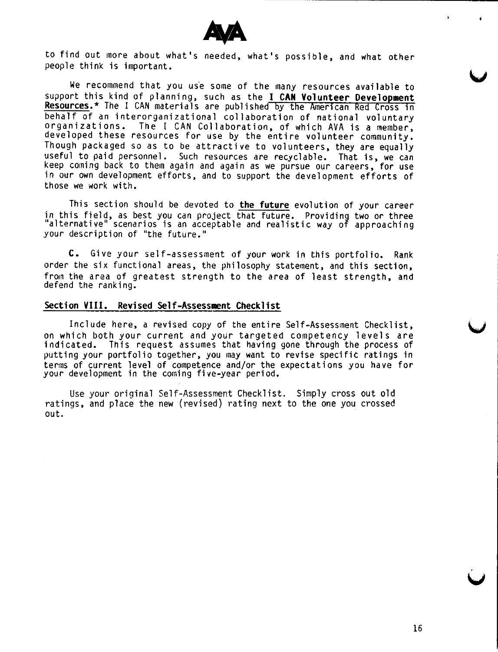

to find out more about what's needed, what's possible, and what other people think is important.

We recommend that you use some of the many resources available to support this kind of planning, such as the I CAN Volunteer Development Resources.\* The I CAN materials are published by the American Red Cross in behalf of an interorganizational collaboration of national voluntary organizations. The I CAN Collaboration, of which AVA is a member, developed these resources for use by the entire volunteer community. Though packaged so as to be attractive to volunteers, they are equally useful to paid personnel. Such resources are recyclable. That is, we can keep coming back to them again and again as we pursue our careers, for use in our own development efforts, and to support the development efforts of those we work with.

This section should be devoted to **the future** evolution of your career in this field, as best you can project that future. Providing two or three alternative" scenarios is an acceptable and realistic way of approaching your description of "the future."

**C.** Give your self-assessment of your work in this portfolio. Rank order the six functional areas, the philosophy statement, and this section, from the area of greatest strength to the area of least strength, and defend the ranking.

### **Section VIII. Revised Self-Assessment Checklist**

Include here, a revised copy of the entire Self-Assessment Checklist, on which both your current and your targeted competency levels are indicated. This request assumes that having gone through the process of putting your portfolio together, you may want to revise specific ratings in terms of current level of competence and/or the expectations you have for your development in the coming five-year period.

Use your original Self-Assessment Checklist. Simply cross out old ratings, and place the new (revised) rating next to the one you crossed out.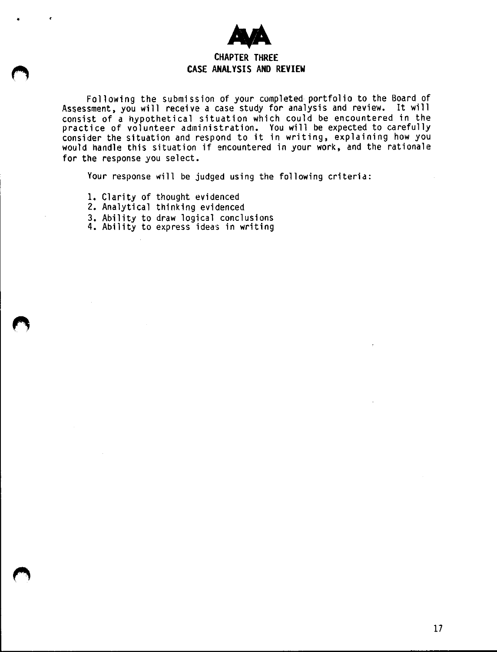

Following the submission of your completed portfolio to the Board of Assessment, you will receive a case study for analysis and review. It will consist of a hypothetical situation which could be encountered in the practice of volunteer administration. You will be expected to carefully consider the situation and respond to it in writing, explaining how you would handle this situation if encountered in your work, and the rationale for the response you select.

Your response will be judged using the following criterid:

1. Clarity of thought evidenced

•

- 2. Analytical thinking evidenced
- 3, Ability to draw logical conclusions
- 4. Ability to express ideas in writing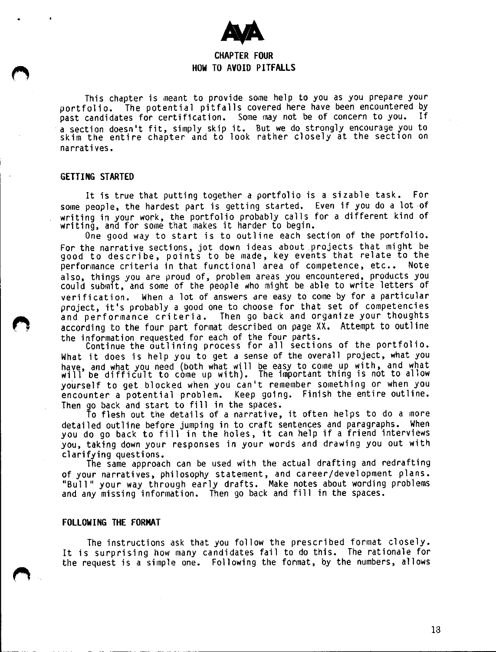

### **CHAPTER FOUR HOW TO AVOID PITFALLS**

This chapter is meant to provide some help to you as you prepare your portfolio. The potential pitfalls covered here have been encountered by<br>past candidates for certification. Some may not be of concern to you. If past candidates for certification. Some may not be of concern to you. · a section doesn't fit, simply skip it. But **we** do strongly encourage you to skim the entire chapter and to look rather closely at the section on narratives.

#### **GETTING STARTED**

It is true that putting together a portfolio is a sizable task. For some people, the hardest part is getting started. Even if you do a lot of writing in your work, the portfolio probably calls for a different kind of writing, and for some that makes it harder to begin.

One good way to start is to outline each section of the portfolio. For the narrative sections, jot down ideas about projects that might be good to describe, points to be made, key events that relate to the performance criteria in that functional area of competence, etc.. Note also, things you are proud of, problem areas you encountered, products you could submit, and some of the people who might be able to write letters of verification. When a lot of answers are easy to come by for a particular project, it's probably a good one to choose for that set of competencies and performance criteria. Then go back and organize your thoughts according to the four part format described on page XX. Attempt to outline the information requested for each of the four parts.<br>Continue the outlining process for all sections of the portfolio.

What it does is help you to get a sense of the overall project, what you have, and what you need (both what will be easy to come up with, and what will be difficult to come up with). The important thing is not to allow yourself to get blocked when you can't remember something or when you encounter a potential problem. Keep going. Finish the entire outline. Then go back and start to fill in the spaces.

To flesh out the details of a narrative, it often helps to do a more detailed outline before jumping in to craft sentences and paragraphs. When you do go back to fill in the holes, it can help if a friend interview you, taking down your responses in your words and drawing you out with clarifying questions.

The same approach can be used with the actual drafting and redrafting of your narratives, philosophy statement, and career/development plans. "Bull" your way through early drafts. Make notes about wording problems and any missing information. Then go back and fill in the spaces.

#### **FOLLOWING THE FORMAT**

The instructions ask that you follow the prescribed format closely. It is surprising how many candidates fail to do this. The rationale for the request is a simple one. Following the format, by the numbers, allows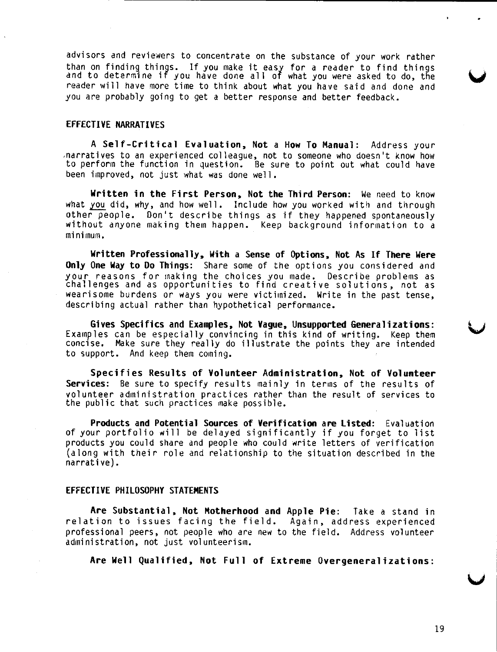advisors and reviewers to concentrate on the substance of your work rather than on finding things. If you make it easy for a reader to find things<br>and to determine if you have done all of what you were asked to do, the reader will have more time to think about what you have said and done and you are probably going to get a better response and better feedback.

#### **EFFECTIVE NARRATIVES**

**A Self-Critical Evaluation, Not a How To Manual:** Address your ,narratives to an experienced colleague, not to someone who doesn't know how to perform the function in question. Be sure to point out what could have been improved, not just what was done well.

**Written in the First Person, Not the Third Person:** We need to know what you did, why, and how well. Include how you worked with and through other people. Don't describe things as if they happened spontaneously without anyone making them happen. Keep background information to a minimum.

**Written Professionally, With a Sense of Options, Not As If There Were Only One Way to Do Things:** Share some of the options you considered and your reasons for making the choices you made. Describe problems as challenges and as opportunities to find creative solutions, not as wearisome burdens or ways you were victimized. Write in the past tense, describing actual rather than hypothetical performance.

**Gives Specifics and Examples, Not Vague, Unsupported Generalizations:**  Examples can be especially convincing in this kind of writing. Keep them concise. Make sure they really do illustrate the points they are intended to support. And keep them coming.

**Specifies Results of Volunteer Administration, Not of Volunteer Services:** Be sure to specify results mainly in terms of the results of volunteer administration practices rather than the result of services to the public that such practices make possible.

**Products and Potential Sources of Verification are Listed:** Evaluation of your portfolio will be delayed significantly if you forget to list products you could share and people who could write letters of verification (along with their role and relationship to the situation described in the narrative).

#### **EFFECTIVE PHILOSOPHY STATEMENTS**

**Are Substantial, Not Motherhood and Apple Pie:** Take a stand in relation to issues facing the field. Again, address experienced professional peers, not people who are new to the field. Address volunteer administration, not just volunteerism.

**Are Well Qualified, Not Full of Extreme Overgeneralizations:**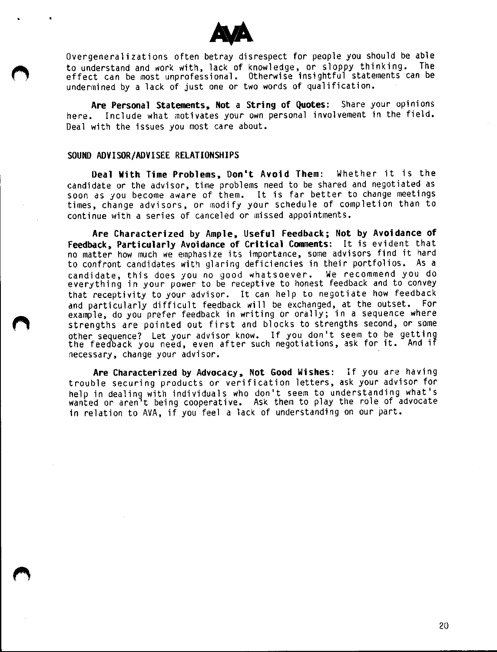

Overgeneralizations often betray disrespect for people you should be able<br>to undopstand and work with lack of knowledge, or sloopy thinking. The to understand and work with, lack of knowledge, or sloppy thinking. effect can be most unprofessional. Otherwise insightful statements can be undermined by a lack of just one or two words of qualification.

**Are Personal Statements, Not a String of Quotes:** Share your opinions here. Include what motivates your own personal involvement in the field. Deal with the issues you most care about.

#### **SOUND ADVISOR/ADVISEE RELATIONSHIPS**

•

**Oeal With Time Problems, Don't Avoid Them:** Whether it is the candidate or the advisor, time problems need to be shared and negotiated as soon as you become aware of them. It is far better to change meetings times, change advisors, or modify your schedule of completion than to continue with a series of canceled or missed appointments.

**Are Characterized by Ample, Useful Feedback; Not by Avoidance of Feedback, Particularly Avoidance of Critical Comments:** It is evident that no matter how much we emphasize its importance, some advisors find it hard to confront candidates with glaring deficiencies in their portfolios. As a candidate, this does you no good whatsoever. We recommend you do everything in your power to be receptive to honest feedback and to convey that receptivity to your advisor. It can help to negotiate how feedback and particularly difficult feedback will be exchanged, at the outset. For example, do you prefer feedback in writing or orally; in a sequence where strengths are pointed out first and blocks to strengths second, or some other sequence? Let your advisor know. If you don't seem to be getting the feedback you need, even after such negotiations, ask for it. And if necessary, change your advisor.

**Are Characterized by Advocacy, Not Good Wishes:** If you are having trouble securing products or verification letters, ask your advisor for help in dealing with individuals who don't seem to understanding what's wanted or aren<sup>1</sup>t being cooperative. Ask them to play the role of advocate in relation to AVA, if you feel a lack of understanding on our part.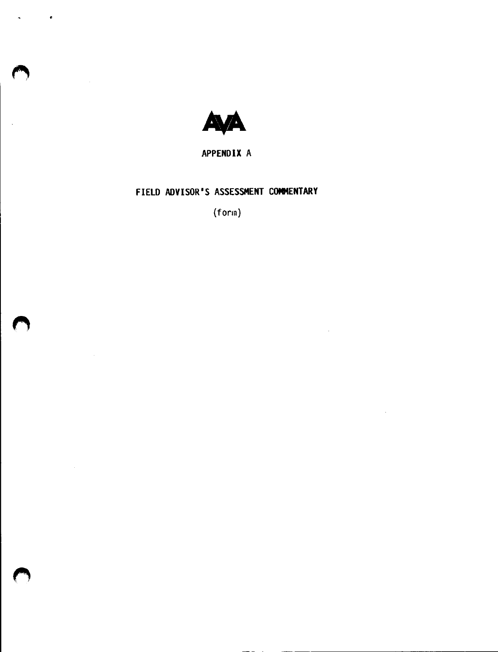

•

 $\sim$ 

 $\bar{z}$ 

**APPENDIX** A

## FIELD **ADVISOR'S ASSESSMENT COMMENTARY**

(form)

 $\mathcal{L}^{\mathcal{A}}$ 

 $\hat{\mathcal{A}}$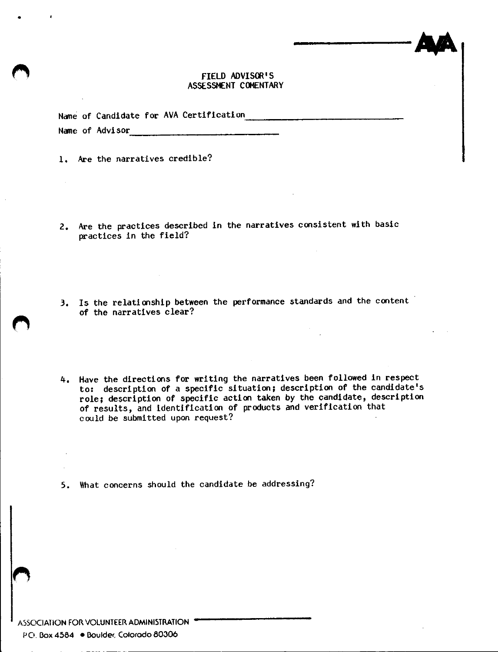#### FIELD ADVISOR'S ASSESSMENT COMENTARY

|  |                 | Name of Candidate for AVA Certification |
|--|-----------------|-----------------------------------------|
|  | Name of Advisor |                                         |
|  |                 |                                         |

1, Are the narratives credible?

 $\mathbb{R}^2$ 

•

- 2, Are the practices described in the narratives consistent with basic practices in the field?
- 3, Is the relationship between the performance standards and the content of the narratives clear?
- 4, Have the directions for writing the narratives been followed in respect to: description of a specific situation; description of the candidate's role; description of specific action taken by the candidate, description of results, and identification of products and verification that could be submitted upon request?

*5.* What concerns should the candidate be addressing?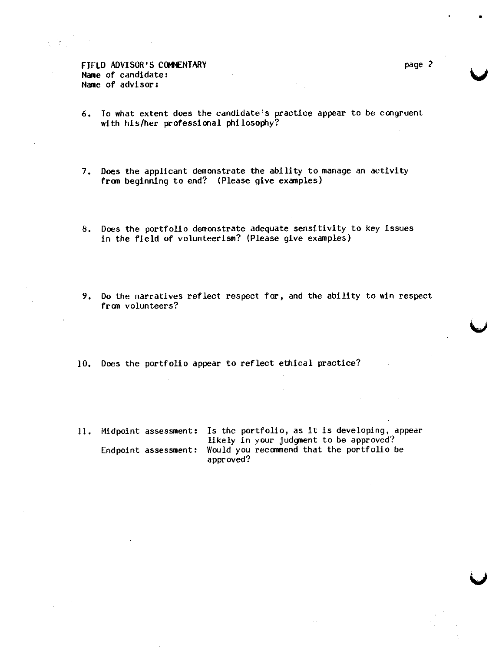FIELD ADVISOR'S COMMENTARY Hane of candidate: Name of advisor:

- 6, To what extent does the candidate's practice appear to be congruent with his/her professional philosophy?
- 7. Does the applicant demonstrate the ability to manage an activity **from** beginning to end? (Please give examples)
- 8, Does the portfolio demonstrate adequate sensitivity to key issues in the field of volunteerism? (Please give examples)
- 9, Do the narratives reflect respect for, and the ability to win respect from volunteers?
- 10, Does the portfolio appear to reflect ethical practice?
- 11. Midpoint assessment: Is the portfolio, as lt is developing, dppear likely in your judgnent to be approved? Endpoint assessment: Would you recarmend that the portfolio be approved?

•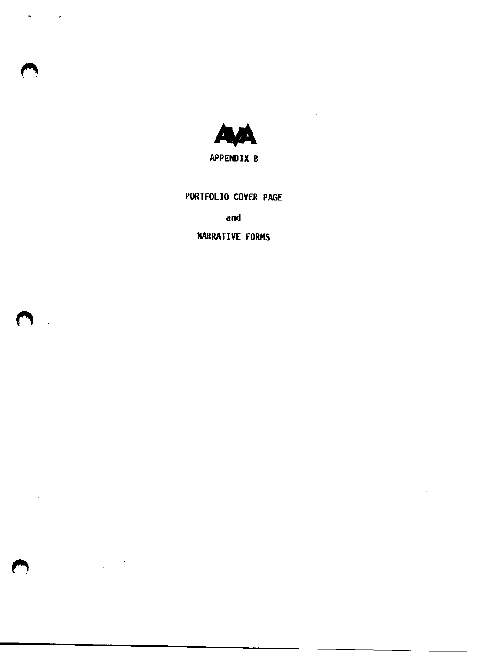

 $\overline{a}$ 

 $\overline{z}$ 

APPENDIX B

PORTFOLIO COVER PAGE

### **and**

### NARRATIVE FORMS

 $\hat{\boldsymbol{\beta}}$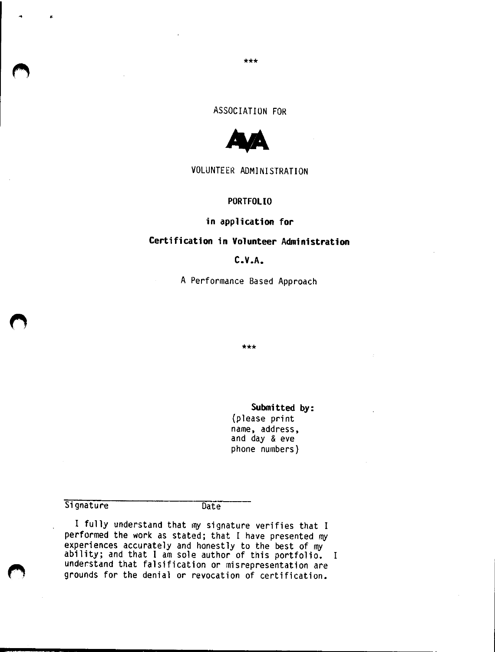#### \*\*\*

### ASSOCIATION FOR



#### VOLUNTEER ADMINISTRATION

#### **PORTFOLIO**

#### **in application for**

### **Certification in Volunteer Administration**

### **C. V .A.**

A Performance Based Approach

\*\*\*

#### **Submitted by:**

(please print name, address, and day & eve phone numbers)

#### **Signature**

•

Date<sup>T</sup>

I fully understand that my signature verifies that I performed the work as stated; that I have presented my experiences accurately and honestly to the best of my ability; and that I am sole author of this portfolio. I understand that falsification or misrepresentation are grounds for the denial or revocation of certification.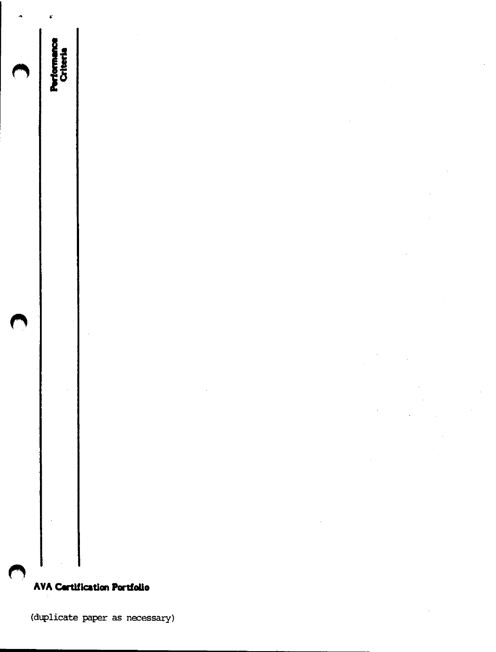